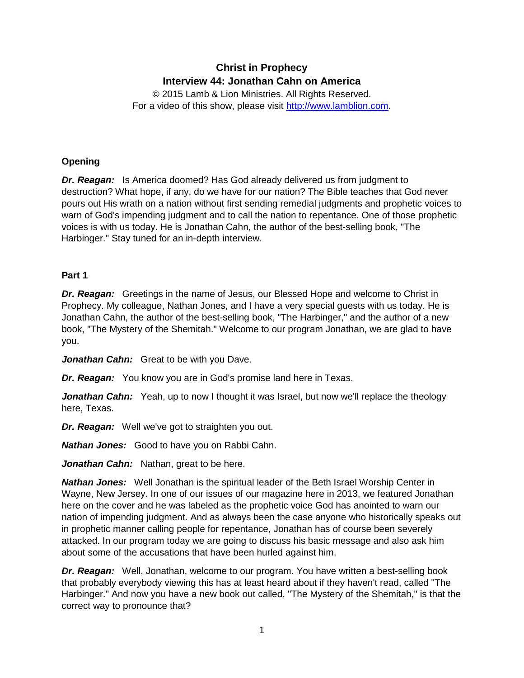# **Christ in Prophecy Interview 44: Jonathan Cahn on America**

© 2015 Lamb & Lion Ministries. All Rights Reserved. For a video of this show, please visit [http://www.lamblion.com.](http://www.lamblion.com/)

# **Opening**

*Dr. Reagan:* Is America doomed? Has God already delivered us from judgment to destruction? What hope, if any, do we have for our nation? The Bible teaches that God never pours out His wrath on a nation without first sending remedial judgments and prophetic voices to warn of God's impending judgment and to call the nation to repentance. One of those prophetic voices is with us today. He is Jonathan Cahn, the author of the best-selling book, "The Harbinger." Stay tuned for an in-depth interview.

# **Part 1**

*Dr. Reagan:* Greetings in the name of Jesus, our Blessed Hope and welcome to Christ in Prophecy. My colleague, Nathan Jones, and I have a very special guests with us today. He is Jonathan Cahn, the author of the best-selling book, "The Harbinger," and the author of a new book, "The Mystery of the Shemitah." Welcome to our program Jonathan, we are glad to have you.

*Jonathan Cahn:* Great to be with you Dave.

*Dr. Reagan:* You know you are in God's promise land here in Texas.

**Jonathan Cahn:** Yeah, up to now I thought it was Israel, but now we'll replace the theology here, Texas.

*Dr. Reagan:* Well we've got to straighten you out.

*Nathan Jones:* Good to have you on Rabbi Cahn.

*Jonathan Cahn:* Nathan, great to be here.

*Nathan Jones:* Well Jonathan is the spiritual leader of the Beth Israel Worship Center in Wayne, New Jersey. In one of our issues of our magazine here in 2013, we featured Jonathan here on the cover and he was labeled as the prophetic voice God has anointed to warn our nation of impending judgment. And as always been the case anyone who historically speaks out in prophetic manner calling people for repentance, Jonathan has of course been severely attacked. In our program today we are going to discuss his basic message and also ask him about some of the accusations that have been hurled against him.

*Dr. Reagan:* Well, Jonathan, welcome to our program. You have written a best-selling book that probably everybody viewing this has at least heard about if they haven't read, called "The Harbinger." And now you have a new book out called, "The Mystery of the Shemitah," is that the correct way to pronounce that?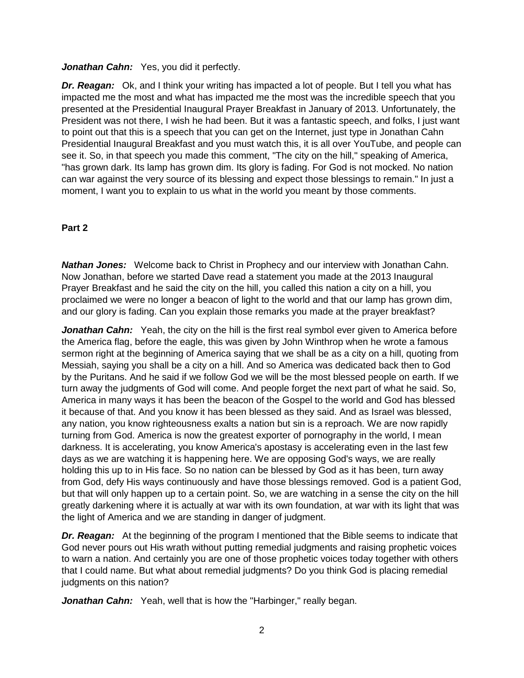#### Jonathan Cahn: Yes, you did it perfectly.

*Dr. Reagan:* Ok, and I think your writing has impacted a lot of people. But I tell you what has impacted me the most and what has impacted me the most was the incredible speech that you presented at the Presidential Inaugural Prayer Breakfast in January of 2013. Unfortunately, the President was not there, I wish he had been. But it was a fantastic speech, and folks, I just want to point out that this is a speech that you can get on the Internet, just type in Jonathan Cahn Presidential Inaugural Breakfast and you must watch this, it is all over YouTube, and people can see it. So, in that speech you made this comment, "The city on the hill," speaking of America, "has grown dark. Its lamp has grown dim. Its glory is fading. For God is not mocked. No nation can war against the very source of its blessing and expect those blessings to remain." In just a moment, I want you to explain to us what in the world you meant by those comments.

### **Part 2**

*Nathan Jones:* Welcome back to Christ in Prophecy and our interview with Jonathan Cahn. Now Jonathan, before we started Dave read a statement you made at the 2013 Inaugural Prayer Breakfast and he said the city on the hill, you called this nation a city on a hill, you proclaimed we were no longer a beacon of light to the world and that our lamp has grown dim, and our glory is fading. Can you explain those remarks you made at the prayer breakfast?

*Jonathan Cahn:* Yeah, the city on the hill is the first real symbol ever given to America before the America flag, before the eagle, this was given by John Winthrop when he wrote a famous sermon right at the beginning of America saying that we shall be as a city on a hill, quoting from Messiah, saying you shall be a city on a hill. And so America was dedicated back then to God by the Puritans. And he said if we follow God we will be the most blessed people on earth. If we turn away the judgments of God will come. And people forget the next part of what he said. So, America in many ways it has been the beacon of the Gospel to the world and God has blessed it because of that. And you know it has been blessed as they said. And as Israel was blessed, any nation, you know righteousness exalts a nation but sin is a reproach. We are now rapidly turning from God. America is now the greatest exporter of pornography in the world, I mean darkness. It is accelerating, you know America's apostasy is accelerating even in the last few days as we are watching it is happening here. We are opposing God's ways, we are really holding this up to in His face. So no nation can be blessed by God as it has been, turn away from God, defy His ways continuously and have those blessings removed. God is a patient God, but that will only happen up to a certain point. So, we are watching in a sense the city on the hill greatly darkening where it is actually at war with its own foundation, at war with its light that was the light of America and we are standing in danger of judgment.

**Dr. Reagan:** At the beginning of the program I mentioned that the Bible seems to indicate that God never pours out His wrath without putting remedial judgments and raising prophetic voices to warn a nation. And certainly you are one of those prophetic voices today together with others that I could name. But what about remedial judgments? Do you think God is placing remedial judgments on this nation?

*Jonathan Cahn:* Yeah, well that is how the "Harbinger," really began.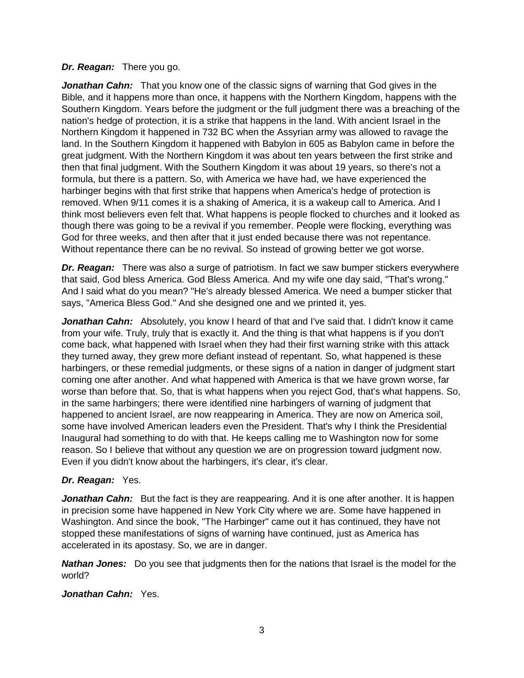#### *Dr. Reagan:* There you go.

*Jonathan Cahn:* That you know one of the classic signs of warning that God gives in the Bible, and it happens more than once, it happens with the Northern Kingdom, happens with the Southern Kingdom. Years before the judgment or the full judgment there was a breaching of the nation's hedge of protection, it is a strike that happens in the land. With ancient Israel in the Northern Kingdom it happened in 732 BC when the Assyrian army was allowed to ravage the land. In the Southern Kingdom it happened with Babylon in 605 as Babylon came in before the great judgment. With the Northern Kingdom it was about ten years between the first strike and then that final judgment. With the Southern Kingdom it was about 19 years, so there's not a formula, but there is a pattern. So, with America we have had, we have experienced the harbinger begins with that first strike that happens when America's hedge of protection is removed. When 9/11 comes it is a shaking of America, it is a wakeup call to America. And I think most believers even felt that. What happens is people flocked to churches and it looked as though there was going to be a revival if you remember. People were flocking, everything was God for three weeks, and then after that it just ended because there was not repentance. Without repentance there can be no revival. So instead of growing better we got worse.

*Dr. Reagan:* There was also a surge of patriotism. In fact we saw bumper stickers everywhere that said, God bless America. God Bless America. And my wife one day said, "That's wrong." And I said what do you mean? "He's already blessed America. We need a bumper sticker that says, "America Bless God." And she designed one and we printed it, yes.

*Jonathan Cahn:* Absolutely, you know I heard of that and I've said that. I didn't know it came from your wife. Truly, truly that is exactly it. And the thing is that what happens is if you don't come back, what happened with Israel when they had their first warning strike with this attack they turned away, they grew more defiant instead of repentant. So, what happened is these harbingers, or these remedial judgments, or these signs of a nation in danger of judgment start coming one after another. And what happened with America is that we have grown worse, far worse than before that. So, that is what happens when you reject God, that's what happens. So, in the same harbingers; there were identified nine harbingers of warning of judgment that happened to ancient Israel, are now reappearing in America. They are now on America soil, some have involved American leaders even the President. That's why I think the Presidential Inaugural had something to do with that. He keeps calling me to Washington now for some reason. So I believe that without any question we are on progression toward judgment now. Even if you didn't know about the harbingers, it's clear, it's clear.

### *Dr. Reagan:* Yes.

**Jonathan Cahn:** But the fact is they are reappearing. And it is one after another. It is happen in precision some have happened in New York City where we are. Some have happened in Washington. And since the book, "The Harbinger" came out it has continued, they have not stopped these manifestations of signs of warning have continued, just as America has accelerated in its apostasy. So, we are in danger.

*Nathan Jones:* Do you see that judgments then for the nations that Israel is the model for the world?

#### *Jonathan Cahn:* Yes.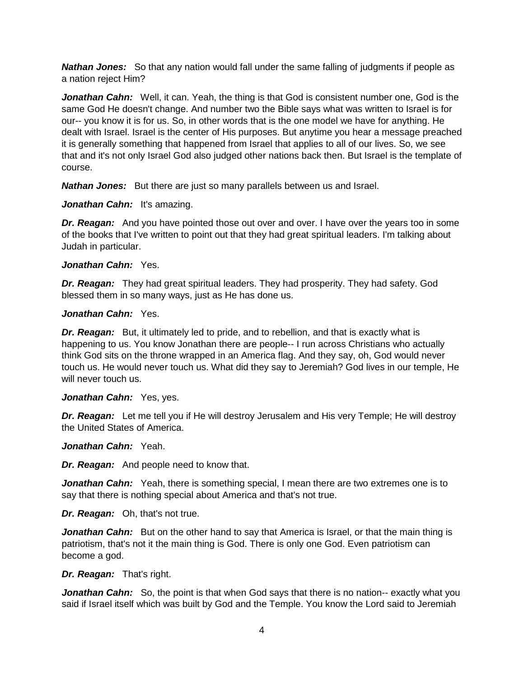**Nathan Jones:** So that any nation would fall under the same falling of judgments if people as a nation reject Him?

*Jonathan Cahn:* Well, it can. Yeah, the thing is that God is consistent number one, God is the same God He doesn't change. And number two the Bible says what was written to Israel is for our-- you know it is for us. So, in other words that is the one model we have for anything. He dealt with Israel. Israel is the center of His purposes. But anytime you hear a message preached it is generally something that happened from Israel that applies to all of our lives. So, we see that and it's not only Israel God also judged other nations back then. But Israel is the template of course.

*Nathan Jones:* But there are just so many parallels between us and Israel.

*Jonathan Cahn:* It's amazing.

*Dr. Reagan:* And you have pointed those out over and over. I have over the years too in some of the books that I've written to point out that they had great spiritual leaders. I'm talking about Judah in particular.

#### *Jonathan Cahn:* Yes.

*Dr. Reagan:* They had great spiritual leaders. They had prosperity. They had safety. God blessed them in so many ways, just as He has done us.

#### *Jonathan Cahn:* Yes.

*Dr. Reagan:* But, it ultimately led to pride, and to rebellion, and that is exactly what is happening to us. You know Jonathan there are people-- I run across Christians who actually think God sits on the throne wrapped in an America flag. And they say, oh, God would never touch us. He would never touch us. What did they say to Jeremiah? God lives in our temple, He will never touch us.

#### *Jonathan Cahn:* Yes, yes.

*Dr. Reagan:* Let me tell you if He will destroy Jerusalem and His very Temple; He will destroy the United States of America.

*Jonathan Cahn:* Yeah.

*Dr. Reagan:* And people need to know that.

*Jonathan Cahn:* Yeah, there is something special, I mean there are two extremes one is to say that there is nothing special about America and that's not true.

*Dr. Reagan:* Oh, that's not true.

**Jonathan Cahn:** But on the other hand to say that America is Israel, or that the main thing is patriotism, that's not it the main thing is God. There is only one God. Even patriotism can become a god.

### *Dr. Reagan:* That's right.

**Jonathan Cahn:** So, the point is that when God says that there is no nation-- exactly what you said if Israel itself which was built by God and the Temple. You know the Lord said to Jeremiah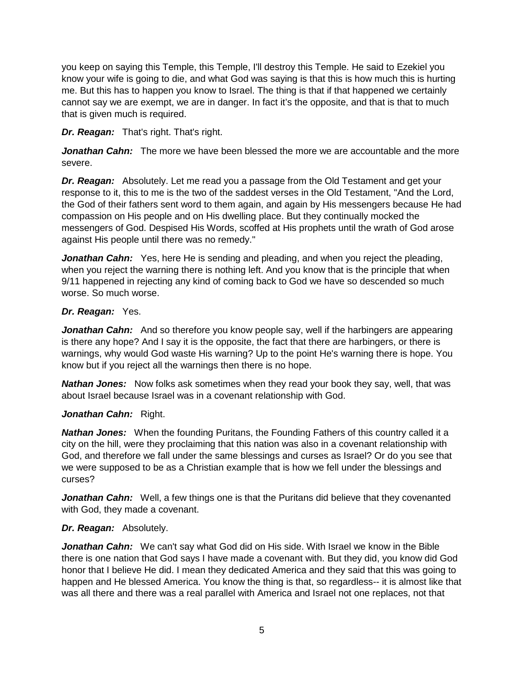you keep on saying this Temple, this Temple, I'll destroy this Temple. He said to Ezekiel you know your wife is going to die, and what God was saying is that this is how much this is hurting me. But this has to happen you know to Israel. The thing is that if that happened we certainly cannot say we are exempt, we are in danger. In fact it's the opposite, and that is that to much that is given much is required.

# *Dr. Reagan:* That's right. That's right.

*Jonathan Cahn:* The more we have been blessed the more we are accountable and the more severe.

*Dr. Reagan:* Absolutely. Let me read you a passage from the Old Testament and get your response to it, this to me is the two of the saddest verses in the Old Testament, "And the Lord, the God of their fathers sent word to them again, and again by His messengers because He had compassion on His people and on His dwelling place. But they continually mocked the messengers of God. Despised His Words, scoffed at His prophets until the wrath of God arose against His people until there was no remedy."

*Jonathan Cahn:* Yes, here He is sending and pleading, and when you reject the pleading, when you reject the warning there is nothing left. And you know that is the principle that when 9/11 happened in rejecting any kind of coming back to God we have so descended so much worse. So much worse.

### *Dr. Reagan:* Yes.

**Jonathan Cahn:** And so therefore you know people say, well if the harbingers are appearing is there any hope? And I say it is the opposite, the fact that there are harbingers, or there is warnings, why would God waste His warning? Up to the point He's warning there is hope. You know but if you reject all the warnings then there is no hope.

*Nathan Jones:* Now folks ask sometimes when they read your book they say, well, that was about Israel because Israel was in a covenant relationship with God.

# *Jonathan Cahn:* Right.

*Nathan Jones:* When the founding Puritans, the Founding Fathers of this country called it a city on the hill, were they proclaiming that this nation was also in a covenant relationship with God, and therefore we fall under the same blessings and curses as Israel? Or do you see that we were supposed to be as a Christian example that is how we fell under the blessings and curses?

**Jonathan Cahn:** Well, a few things one is that the Puritans did believe that they covenanted with God, they made a covenant.

### *Dr. Reagan:* Absolutely.

*Jonathan Cahn:* We can't say what God did on His side. With Israel we know in the Bible there is one nation that God says I have made a covenant with. But they did, you know did God honor that I believe He did. I mean they dedicated America and they said that this was going to happen and He blessed America. You know the thing is that, so regardless-- it is almost like that was all there and there was a real parallel with America and Israel not one replaces, not that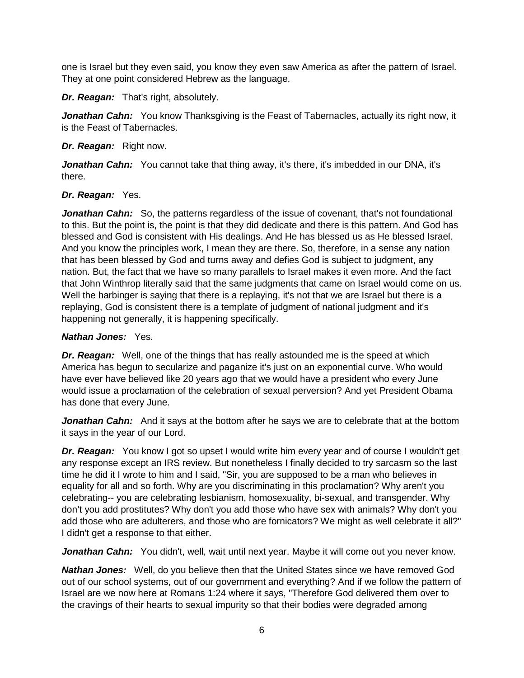one is Israel but they even said, you know they even saw America as after the pattern of Israel. They at one point considered Hebrew as the language.

*Dr. Reagan:* That's right, absolutely.

Jonathan Cahn: You know Thanksgiving is the Feast of Tabernacles, actually its right now, it is the Feast of Tabernacles.

# *Dr. Reagan:* Right now.

Jonathan Cahn: You cannot take that thing away, it's there, it's imbedded in our DNA, it's there.

# *Dr. Reagan:* Yes.

*Jonathan Cahn:* So, the patterns regardless of the issue of covenant, that's not foundational to this. But the point is, the point is that they did dedicate and there is this pattern. And God has blessed and God is consistent with His dealings. And He has blessed us as He blessed Israel. And you know the principles work, I mean they are there. So, therefore, in a sense any nation that has been blessed by God and turns away and defies God is subject to judgment, any nation. But, the fact that we have so many parallels to Israel makes it even more. And the fact that John Winthrop literally said that the same judgments that came on Israel would come on us. Well the harbinger is saying that there is a replaying, it's not that we are Israel but there is a replaying, God is consistent there is a template of judgment of national judgment and it's happening not generally, it is happening specifically.

# *Nathan Jones:* Yes.

*Dr. Reagan:* Well, one of the things that has really astounded me is the speed at which America has begun to secularize and paganize it's just on an exponential curve. Who would have ever have believed like 20 years ago that we would have a president who every June would issue a proclamation of the celebration of sexual perversion? And yet President Obama has done that every June.

**Jonathan Cahn:** And it says at the bottom after he says we are to celebrate that at the bottom it says in the year of our Lord.

*Dr. Reagan:* You know I got so upset I would write him every year and of course I wouldn't get any response except an IRS review. But nonetheless I finally decided to try sarcasm so the last time he did it I wrote to him and I said, "Sir, you are supposed to be a man who believes in equality for all and so forth. Why are you discriminating in this proclamation? Why aren't you celebrating-- you are celebrating lesbianism, homosexuality, bi-sexual, and transgender. Why don't you add prostitutes? Why don't you add those who have sex with animals? Why don't you add those who are adulterers, and those who are fornicators? We might as well celebrate it all?" I didn't get a response to that either.

*Jonathan Cahn:* You didn't, well, wait until next year. Maybe it will come out you never know.

*Nathan Jones:* Well, do you believe then that the United States since we have removed God out of our school systems, out of our government and everything? And if we follow the pattern of Israel are we now here at Romans 1:24 where it says, "Therefore God delivered them over to the cravings of their hearts to sexual impurity so that their bodies were degraded among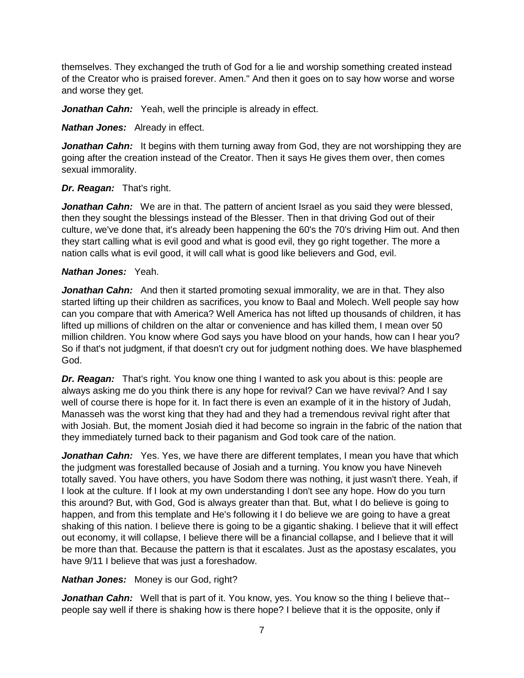themselves. They exchanged the truth of God for a lie and worship something created instead of the Creator who is praised forever. Amen." And then it goes on to say how worse and worse and worse they get.

Jonathan Cahn: Yeah, well the principle is already in effect.

*Nathan Jones:* Already in effect.

**Jonathan Cahn:** It begins with them turning away from God, they are not worshipping they are going after the creation instead of the Creator. Then it says He gives them over, then comes sexual immorality.

### *Dr. Reagan:* That's right.

Jonathan Cahn: We are in that. The pattern of ancient Israel as you said they were blessed, then they sought the blessings instead of the Blesser. Then in that driving God out of their culture, we've done that, it's already been happening the 60's the 70's driving Him out. And then they start calling what is evil good and what is good evil, they go right together. The more a nation calls what is evil good, it will call what is good like believers and God, evil.

#### *Nathan Jones:* Yeah.

**Jonathan Cahn:** And then it started promoting sexual immorality, we are in that. They also started lifting up their children as sacrifices, you know to Baal and Molech. Well people say how can you compare that with America? Well America has not lifted up thousands of children, it has lifted up millions of children on the altar or convenience and has killed them, I mean over 50 million children. You know where God says you have blood on your hands, how can I hear you? So if that's not judgment, if that doesn't cry out for judgment nothing does. We have blasphemed God.

*Dr. Reagan:* That's right. You know one thing I wanted to ask you about is this: people are always asking me do you think there is any hope for revival? Can we have revival? And I say well of course there is hope for it. In fact there is even an example of it in the history of Judah, Manasseh was the worst king that they had and they had a tremendous revival right after that with Josiah. But, the moment Josiah died it had become so ingrain in the fabric of the nation that they immediately turned back to their paganism and God took care of the nation.

**Jonathan Cahn:** Yes. Yes, we have there are different templates, I mean you have that which the judgment was forestalled because of Josiah and a turning. You know you have Nineveh totally saved. You have others, you have Sodom there was nothing, it just wasn't there. Yeah, if I look at the culture. If I look at my own understanding I don't see any hope. How do you turn this around? But, with God, God is always greater than that. But, what I do believe is going to happen, and from this template and He's following it I do believe we are going to have a great shaking of this nation. I believe there is going to be a gigantic shaking. I believe that it will effect out economy, it will collapse, I believe there will be a financial collapse, and I believe that it will be more than that. Because the pattern is that it escalates. Just as the apostasy escalates, you have 9/11 I believe that was just a foreshadow.

### *Nathan Jones:* Money is our God, right?

*Jonathan Cahn:* Well that is part of it. You know, yes. You know so the thing I believe that- people say well if there is shaking how is there hope? I believe that it is the opposite, only if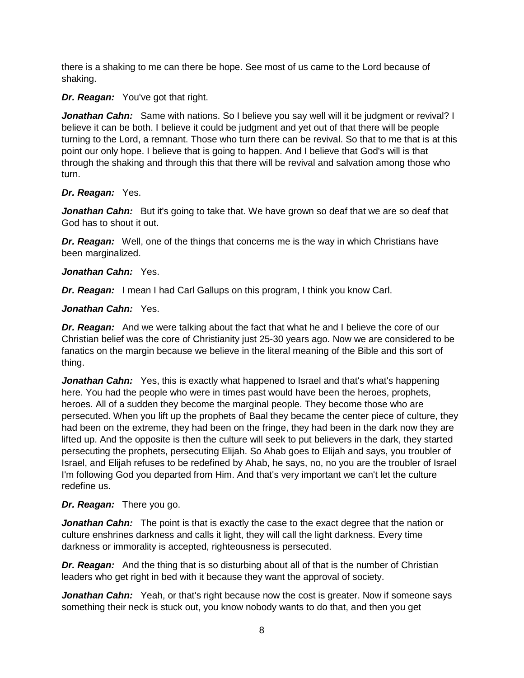there is a shaking to me can there be hope. See most of us came to the Lord because of shaking.

*Dr. Reagan:* You've got that right.

**Jonathan Cahn:** Same with nations. So I believe you say well will it be judgment or revival? I believe it can be both. I believe it could be judgment and yet out of that there will be people turning to the Lord, a remnant. Those who turn there can be revival. So that to me that is at this point our only hope. I believe that is going to happen. And I believe that God's will is that through the shaking and through this that there will be revival and salvation among those who turn.

# *Dr. Reagan:* Yes.

**Jonathan Cahn:** But it's going to take that. We have grown so deaf that we are so deaf that God has to shout it out.

*Dr. Reagan:* Well, one of the things that concerns me is the way in which Christians have been marginalized.

# *Jonathan Cahn:* Yes.

*Dr. Reagan:* I mean I had Carl Gallups on this program, I think you know Carl.

# *Jonathan Cahn:* Yes.

**Dr. Reagan:** And we were talking about the fact that what he and I believe the core of our Christian belief was the core of Christianity just 25-30 years ago. Now we are considered to be fanatics on the margin because we believe in the literal meaning of the Bible and this sort of thing.

**Jonathan Cahn:** Yes, this is exactly what happened to Israel and that's what's happening here. You had the people who were in times past would have been the heroes, prophets, heroes. All of a sudden they become the marginal people. They become those who are persecuted. When you lift up the prophets of Baal they became the center piece of culture, they had been on the extreme, they had been on the fringe, they had been in the dark now they are lifted up. And the opposite is then the culture will seek to put believers in the dark, they started persecuting the prophets, persecuting Elijah. So Ahab goes to Elijah and says, you troubler of Israel, and Elijah refuses to be redefined by Ahab, he says, no, no you are the troubler of Israel I'm following God you departed from Him. And that's very important we can't let the culture redefine us.

# *Dr. Reagan:* There you go.

**Jonathan Cahn:** The point is that is exactly the case to the exact degree that the nation or culture enshrines darkness and calls it light, they will call the light darkness. Every time darkness or immorality is accepted, righteousness is persecuted.

*Dr. Reagan:* And the thing that is so disturbing about all of that is the number of Christian leaders who get right in bed with it because they want the approval of society.

**Jonathan Cahn:** Yeah, or that's right because now the cost is greater. Now if someone says something their neck is stuck out, you know nobody wants to do that, and then you get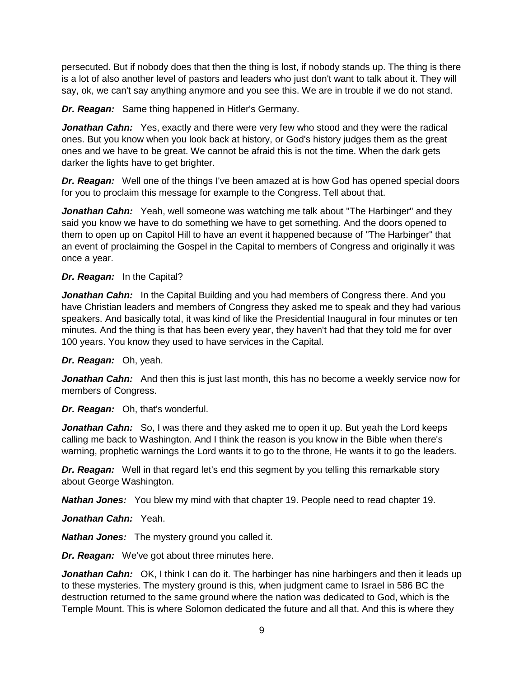persecuted. But if nobody does that then the thing is lost, if nobody stands up. The thing is there is a lot of also another level of pastors and leaders who just don't want to talk about it. They will say, ok, we can't say anything anymore and you see this. We are in trouble if we do not stand.

*Dr. Reagan:* Same thing happened in Hitler's Germany.

*Jonathan Cahn:* Yes, exactly and there were very few who stood and they were the radical ones. But you know when you look back at history, or God's history judges them as the great ones and we have to be great. We cannot be afraid this is not the time. When the dark gets darker the lights have to get brighter.

*Dr. Reagan:* Well one of the things I've been amazed at is how God has opened special doors for you to proclaim this message for example to the Congress. Tell about that.

**Jonathan Cahn:** Yeah, well someone was watching me talk about "The Harbinger" and they said you know we have to do something we have to get something. And the doors opened to them to open up on Capitol Hill to have an event it happened because of "The Harbinger" that an event of proclaiming the Gospel in the Capital to members of Congress and originally it was once a year.

# *Dr. Reagan:* In the Capital?

*Jonathan Cahn:* In the Capital Building and you had members of Congress there. And you have Christian leaders and members of Congress they asked me to speak and they had various speakers. And basically total, it was kind of like the Presidential Inaugural in four minutes or ten minutes. And the thing is that has been every year, they haven't had that they told me for over 100 years. You know they used to have services in the Capital.

### *Dr. Reagan:* Oh, yeah.

*Jonathan Cahn:* And then this is just last month, this has no become a weekly service now for members of Congress.

*Dr. Reagan:* Oh, that's wonderful.

**Jonathan Cahn:** So, I was there and they asked me to open it up. But yeah the Lord keeps calling me back to Washington. And I think the reason is you know in the Bible when there's warning, prophetic warnings the Lord wants it to go to the throne, He wants it to go the leaders.

*Dr. Reagan:* Well in that regard let's end this segment by you telling this remarkable story about George Washington.

*Nathan Jones:* You blew my mind with that chapter 19. People need to read chapter 19.

*Jonathan Cahn:* Yeah.

*Nathan Jones:* The mystery ground you called it.

*Dr. Reagan:* We've got about three minutes here.

Jonathan Cahn: OK, I think I can do it. The harbinger has nine harbingers and then it leads up to these mysteries. The mystery ground is this, when judgment came to Israel in 586 BC the destruction returned to the same ground where the nation was dedicated to God, which is the Temple Mount. This is where Solomon dedicated the future and all that. And this is where they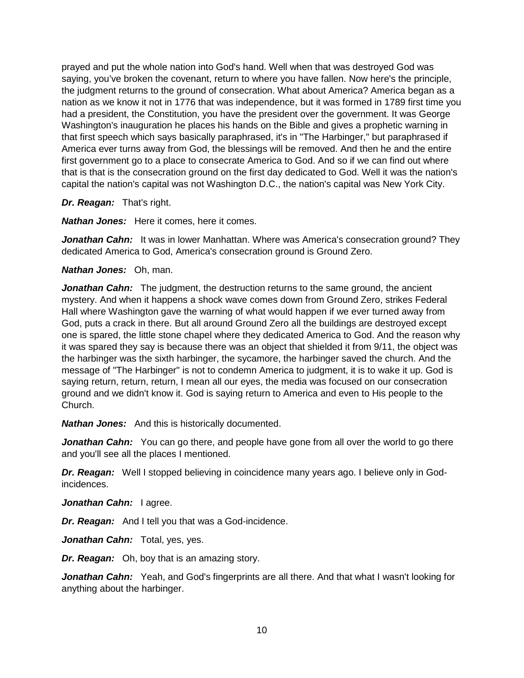prayed and put the whole nation into God's hand. Well when that was destroyed God was saying, you've broken the covenant, return to where you have fallen. Now here's the principle, the judgment returns to the ground of consecration. What about America? America began as a nation as we know it not in 1776 that was independence, but it was formed in 1789 first time you had a president, the Constitution, you have the president over the government. It was George Washington's inauguration he places his hands on the Bible and gives a prophetic warning in that first speech which says basically paraphrased, it's in "The Harbinger," but paraphrased if America ever turns away from God, the blessings will be removed. And then he and the entire first government go to a place to consecrate America to God. And so if we can find out where that is that is the consecration ground on the first day dedicated to God. Well it was the nation's capital the nation's capital was not Washington D.C., the nation's capital was New York City.

*Dr. Reagan:* That's right.

*Nathan Jones:* Here it comes, here it comes.

**Jonathan Cahn:** It was in lower Manhattan. Where was America's consecration ground? They dedicated America to God, America's consecration ground is Ground Zero.

#### *Nathan Jones:* Oh, man.

**Jonathan Cahn:** The judgment, the destruction returns to the same ground, the ancient mystery. And when it happens a shock wave comes down from Ground Zero, strikes Federal Hall where Washington gave the warning of what would happen if we ever turned away from God, puts a crack in there. But all around Ground Zero all the buildings are destroyed except one is spared, the little stone chapel where they dedicated America to God. And the reason why it was spared they say is because there was an object that shielded it from 9/11, the object was the harbinger was the sixth harbinger, the sycamore, the harbinger saved the church. And the message of "The Harbinger" is not to condemn America to judgment, it is to wake it up. God is saying return, return, return, I mean all our eyes, the media was focused on our consecration ground and we didn't know it. God is saying return to America and even to His people to the Church.

*Nathan Jones:* And this is historically documented.

**Jonathan Cahn:** You can go there, and people have gone from all over the world to go there and you'll see all the places I mentioned.

*Dr. Reagan:* Well I stopped believing in coincidence many years ago. I believe only in Godincidences.

Jonathan Cahn: lagree.

*Dr. Reagan:* And I tell you that was a God-incidence.

*Jonathan Cahn:* Total, yes, yes.

*Dr. Reagan:* Oh, boy that is an amazing story.

Jonathan Cahn: Yeah, and God's fingerprints are all there. And that what I wasn't looking for anything about the harbinger.